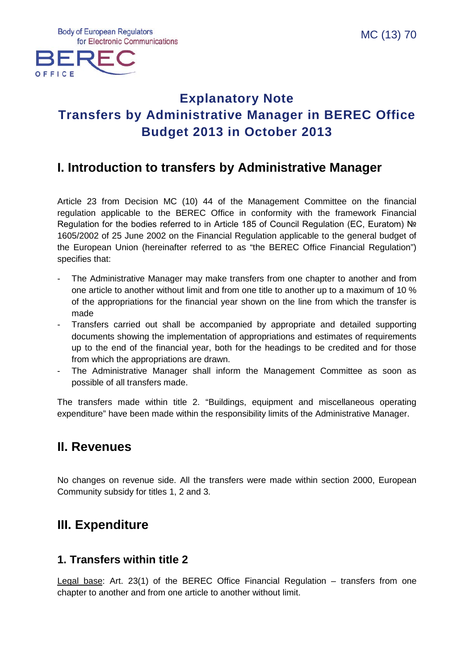**Body of European Regulators** for Electronic Communications



# **Explanatory Note Transfers by Administrative Manager in BEREC Office Budget 2013 in October 2013**

## **I. Introduction to transfers by Administrative Manager**

Article 23 from Decision MC (10) 44 of the Management Committee on the financial regulation applicable to the BEREC Office in conformity with the framework Financial Regulation for the bodies referred to in Article 185 of Council Regulation (EC, Euratom) № 1605/2002 of 25 June 2002 on the Financial Regulation applicable to the general budget of the European Union (hereinafter referred to as "the BEREC Office Financial Regulation") specifies that:

- The Administrative Manager may make transfers from one chapter to another and from one article to another without limit and from one title to another up to a maximum of 10 % of the appropriations for the financial year shown on the line from which the transfer is made
- Transfers carried out shall be accompanied by appropriate and detailed supporting documents showing the implementation of appropriations and estimates of requirements up to the end of the financial year, both for the headings to be credited and for those from which the appropriations are drawn.
- The Administrative Manager shall inform the Management Committee as soon as possible of all transfers made.

The transfers made within title 2. "Buildings, equipment and miscellaneous operating expenditure" have been made within the responsibility limits of the Administrative Manager.

## **II. Revenues**

No changes on revenue side. All the transfers were made within section 2000, European Community subsidy for titles 1, 2 and 3.

## **III. Expenditure**

### **1. Transfers within title 2**

Legal base: Art. 23(1) of the BEREC Office Financial Regulation – transfers from one chapter to another and from one article to another without limit.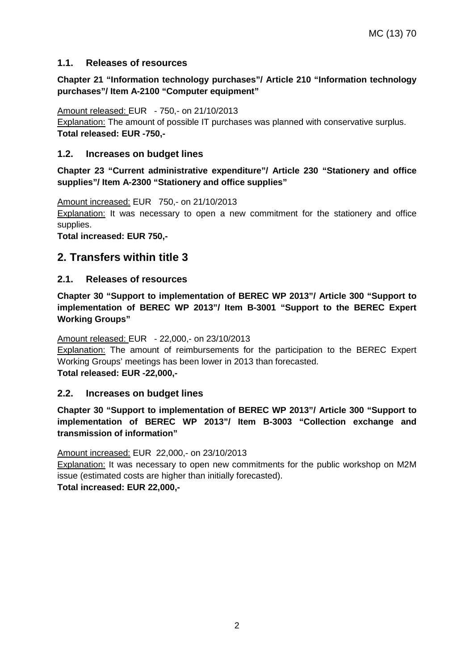#### **1.1. Releases of resources**

#### **Chapter 21 "Information technology purchases"/ Article 210 "Information technology purchases"/ Item A-2100 "Computer equipment"**

#### Amount released: EUR - 750,- on 21/10/2013

Explanation: The amount of possible IT purchases was planned with conservative surplus. **Total released: EUR -750,-**

#### **1.2. Increases on budget lines**

**Chapter 23 "Current administrative expenditure"/ Article 230 "Stationery and office supplies"/ Item A-2300 "Stationery and office supplies"**

Amount increased: EUR 750,- on 21/10/2013

Explanation: It was necessary to open a new commitment for the stationery and office supplies.

**Total increased: EUR 750,-**

### **2. Transfers within title 3**

#### **2.1. Releases of resources**

**Chapter 30 "Support to implementation of BEREC WP 2013"/ Article 300 "Support to implementation of BEREC WP 2013"/ Item B-3001 "Support to the BEREC Expert Working Groups"**

#### Amount released: EUR - 22,000,- on 23/10/2013

**Explanation:** The amount of reimbursements for the participation to the BEREC Expert Working Groups' meetings has been lower in 2013 than forecasted.

**Total released: EUR -22,000,-**

#### **2.2. Increases on budget lines**

**Chapter 30 "Support to implementation of BEREC WP 2013"/ Article 300 "Support to implementation of BEREC WP 2013"/ Item B-3003 "Collection exchange and transmission of information"**

Amount increased: EUR 22,000,- on 23/10/2013

Explanation: It was necessary to open new commitments for the public workshop on M2M issue (estimated costs are higher than initially forecasted).

**Total increased: EUR 22,000,-**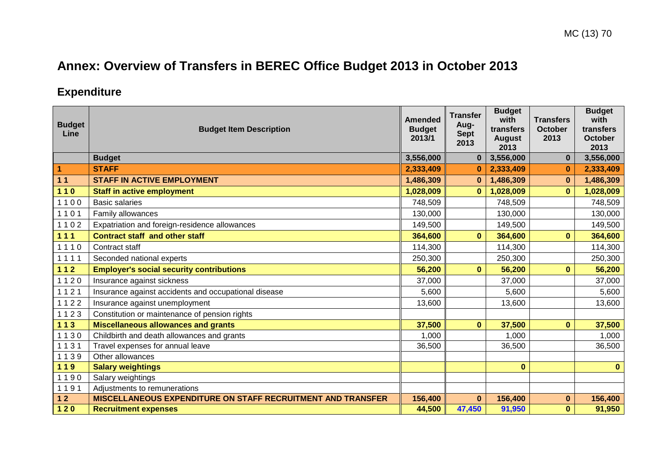# **Annex: Overview of Transfers in BEREC Office Budget 2013 in October 2013**

## **Expenditure**

| <b>Budget</b><br>Line | <b>Budget Item Description</b>                              | <b>Amended</b><br><b>Budget</b><br>2013/1 | <b>Transfer</b><br>Aug-<br><b>Sept</b><br>2013 | <b>Budget</b><br>with<br>transfers<br><b>August</b><br>2013 | <b>Transfers</b><br><b>October</b><br>2013 | <b>Budget</b><br>with<br>transfers<br><b>October</b><br>2013 |
|-----------------------|-------------------------------------------------------------|-------------------------------------------|------------------------------------------------|-------------------------------------------------------------|--------------------------------------------|--------------------------------------------------------------|
|                       | <b>Budget</b>                                               | 3,556,000                                 | $\bf{0}$                                       | 3,556,000                                                   | $\mathbf{0}$                               | 3,556,000                                                    |
| 1                     | <b>STAFF</b>                                                | 2,333,409                                 | $\bf{0}$                                       | 2,333,409                                                   | $\bf{0}$                                   | 2,333,409                                                    |
| 11                    | <b>STAFF IN ACTIVE EMPLOYMENT</b>                           | 1,486,309                                 | $\bf{0}$                                       | 1,486,309                                                   | $\bf{0}$                                   | 1,486,309                                                    |
| $110$                 | <b>Staff in active employment</b>                           | 1,028,009                                 | $\bf{0}$                                       | 1,028,009                                                   | $\mathbf{0}$                               | 1,028,009                                                    |
| 1100                  | <b>Basic salaries</b>                                       | 748,509                                   |                                                | 748,509                                                     |                                            | 748,509                                                      |
| 1101                  | Family allowances                                           | 130,000                                   |                                                | 130,000                                                     |                                            | 130,000                                                      |
| 1102                  | Expatriation and foreign-residence allowances               | 149,500                                   |                                                | 149,500                                                     |                                            | 149,500                                                      |
| $111$                 | <b>Contract staff and other staff</b>                       | 364,600                                   | $\bf{0}$                                       | 364,600                                                     | $\mathbf{0}$                               | 364,600                                                      |
| 1110                  | Contract staff                                              | 114,300                                   |                                                | 114,300                                                     |                                            | 114,300                                                      |
| 1111                  | Seconded national experts                                   | 250,300                                   |                                                | 250,300                                                     |                                            | 250,300                                                      |
| $112$                 | <b>Employer's social security contributions</b>             | 56,200                                    | $\mathbf{0}$                                   | 56,200                                                      | $\mathbf{0}$                               | 56,200                                                       |
| 1120                  | Insurance against sickness                                  | 37,000                                    |                                                | 37,000                                                      |                                            | 37,000                                                       |
| 1121                  | Insurance against accidents and occupational disease        | 5,600                                     |                                                | 5,600                                                       |                                            | 5,600                                                        |
| 1122                  | Insurance against unemployment                              | 13,600                                    |                                                | 13,600                                                      |                                            | 13,600                                                       |
| 1123                  | Constitution or maintenance of pension rights               |                                           |                                                |                                                             |                                            |                                                              |
| $113$                 | <b>Miscellaneous allowances and grants</b>                  | 37,500                                    | $\bf{0}$                                       | 37,500                                                      | $\bf{0}$                                   | 37,500                                                       |
| 1130                  | Childbirth and death allowances and grants                  | 1,000                                     |                                                | 1,000                                                       |                                            | 1,000                                                        |
| 1131                  | Travel expenses for annual leave                            | 36,500                                    |                                                | 36,500                                                      |                                            | 36,500                                                       |
| 1139                  | Other allowances                                            |                                           |                                                |                                                             |                                            |                                                              |
| 119                   | <b>Salary weightings</b>                                    |                                           |                                                | $\bf{0}$                                                    |                                            | $\mathbf{0}$                                                 |
| 1190                  | Salary weightings                                           |                                           |                                                |                                                             |                                            |                                                              |
| 1191                  | Adjustments to remunerations                                |                                           |                                                |                                                             |                                            |                                                              |
| $12$                  | MISCELLANEOUS EXPENDITURE ON STAFF RECRUITMENT AND TRANSFER | 156,400                                   | $\bf{0}$                                       | 156,400                                                     | $\bf{0}$                                   | 156,400                                                      |
| $120$                 | <b>Recruitment expenses</b>                                 | 44,500                                    | 47,450                                         | 91,950                                                      | $\mathbf{0}$                               | 91,950                                                       |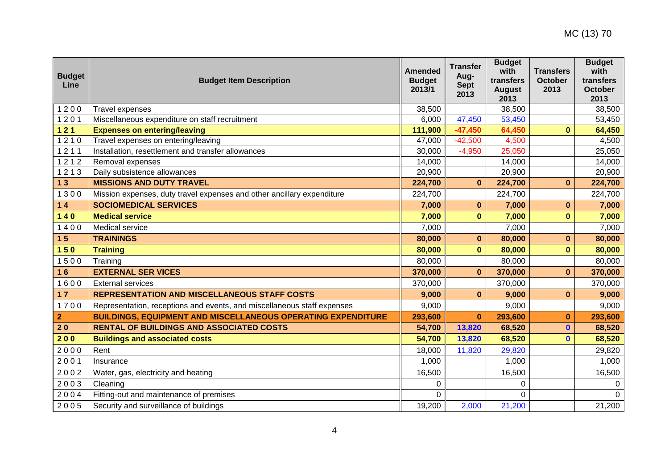| <b>Budget</b><br>Line | <b>Budget Item Description</b>                                          | <b>Amended</b><br><b>Budget</b><br>2013/1 | <b>Transfer</b><br>Aug-<br><b>Sept</b><br>2013 | <b>Budget</b><br>with<br>transfers<br><b>August</b><br>2013 | <b>Transfers</b><br><b>October</b><br>2013 | <b>Budget</b><br>with<br>transfers<br><b>October</b><br>2013 |
|-----------------------|-------------------------------------------------------------------------|-------------------------------------------|------------------------------------------------|-------------------------------------------------------------|--------------------------------------------|--------------------------------------------------------------|
| 1200                  | <b>Travel expenses</b>                                                  | 38,500                                    |                                                | 38,500                                                      |                                            | 38,500                                                       |
| 1201                  | Miscellaneous expenditure on staff recruitment                          | 6,000                                     | 47,450                                         | 53,450                                                      |                                            | 53,450                                                       |
| $121$                 | <b>Expenses on entering/leaving</b>                                     | 111,900                                   | $-47,450$                                      | 64,450                                                      | $\bf{0}$                                   | 64,450                                                       |
| 1210                  | Travel expenses on entering/leaving                                     | 47,000                                    | $-42,500$                                      | 4,500                                                       |                                            | 4,500                                                        |
| 1211                  | Installation, resettlement and transfer allowances                      | 30,000                                    | $-4,950$                                       | 25,050                                                      |                                            | 25,050                                                       |
| 1212                  | Removal expenses                                                        | 14,000                                    |                                                | 14,000                                                      |                                            | 14,000                                                       |
| 1213                  | Daily subsistence allowances                                            | 20,900                                    |                                                | 20,900                                                      |                                            | 20,900                                                       |
| 13                    | <b>MISSIONS AND DUTY TRAVEL</b>                                         | 224,700                                   | $\bf{0}$                                       | 224,700                                                     | $\mathbf{0}$                               | 224,700                                                      |
| 1300                  | Mission expenses, duty travel expenses and other ancillary expenditure  | 224,700                                   |                                                | 224,700                                                     |                                            | 224,700                                                      |
| 14                    | <b>SOCIOMEDICAL SERVICES</b>                                            | 7,000                                     | $\bf{0}$                                       | 7,000                                                       | $\bf{0}$                                   | 7,000                                                        |
| $140$                 | <b>Medical service</b>                                                  | 7,000                                     | $\bf{0}$                                       | 7,000                                                       | $\bf{0}$                                   | 7,000                                                        |
| 1400                  | Medical service                                                         | 7,000                                     |                                                | 7,000                                                       |                                            | 7,000                                                        |
| 15                    | <b>TRAININGS</b>                                                        | 80,000                                    | $\mathbf{0}$                                   | 80,000                                                      | $\mathbf{0}$                               | 80,000                                                       |
| 150                   | <b>Training</b>                                                         | 80,000                                    | $\bf{0}$                                       | 80,000                                                      | $\mathbf{0}$                               | 80,000                                                       |
| 1500                  | Training                                                                | 80,000                                    |                                                | 80,000                                                      |                                            | 80,000                                                       |
| 16                    | <b>EXTERNAL SER VICES</b>                                               | 370,000                                   | $\bf{0}$                                       | 370,000                                                     | $\mathbf{0}$                               | 370,000                                                      |
| 1600                  | <b>External services</b>                                                | 370,000                                   |                                                | 370,000                                                     |                                            | 370,000                                                      |
| 17                    | <b>REPRESENTATION AND MISCELLANEOUS STAFF COSTS</b>                     | 9,000                                     | $\bf{0}$                                       | 9,000                                                       | $\bf{0}$                                   | 9,000                                                        |
| 1700                  | Representation, receptions and events, and miscellaneous staff expenses | 9,000                                     |                                                | 9,000                                                       |                                            | 9,000                                                        |
| $\overline{2}$        | <b>BUILDINGS, EQUIPMENT AND MISCELLANEOUS OPERATING EXPENDITURE</b>     | 293,600                                   | $\mathbf{0}$                                   | 293,600                                                     | $\bf{0}$                                   | 293,600                                                      |
| 20                    | <b>RENTAL OF BUILDINGS AND ASSOCIATED COSTS</b>                         | 54,700                                    | 13,820                                         | 68,520                                                      | $\bf{0}$                                   | 68,520                                                       |
| 200                   | <b>Buildings and associated costs</b>                                   | 54,700                                    | 13,820                                         | 68,520                                                      | $\bf{0}$                                   | 68,520                                                       |
| 2000                  | Rent                                                                    | 18,000                                    | 11,820                                         | 29,820                                                      |                                            | 29,820                                                       |
| 2001                  | Insurance                                                               | 1,000                                     |                                                | 1,000                                                       |                                            | 1,000                                                        |
| 2002                  | Water, gas, electricity and heating                                     | 16,500                                    |                                                | 16,500                                                      |                                            | 16,500                                                       |
| 2003                  | Cleaning                                                                | 0                                         |                                                | 0                                                           |                                            | 0                                                            |
| 2004                  | Fitting-out and maintenance of premises                                 | 0                                         |                                                | 0                                                           |                                            | $\Omega$                                                     |
| 2005                  | Security and surveillance of buildings                                  | 19,200                                    | 2,000                                          | 21,200                                                      |                                            | 21,200                                                       |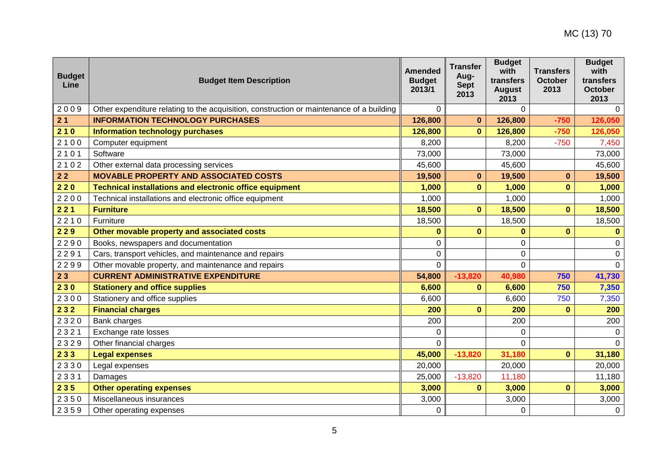| <b>Budget</b><br>Line | <b>Budget Item Description</b>                                                           | <b>Amended</b><br><b>Budget</b><br>2013/1 | <b>Transfer</b><br>Aug-<br><b>Sept</b><br>2013 | <b>Budget</b><br>with<br>transfers<br><b>August</b><br>2013 | <b>Transfers</b><br>October<br>2013 | <b>Budget</b><br>with<br>transfers<br><b>October</b><br>2013 |
|-----------------------|------------------------------------------------------------------------------------------|-------------------------------------------|------------------------------------------------|-------------------------------------------------------------|-------------------------------------|--------------------------------------------------------------|
| 2009                  | Other expenditure relating to the acquisition, construction or maintenance of a building | $\Omega$                                  |                                                | $\overline{0}$                                              |                                     | $\Omega$                                                     |
| 21                    | <b>INFORMATION TECHNOLOGY PURCHASES</b>                                                  | 126,800                                   | $\bf{0}$                                       | 126,800                                                     | $-750$                              | 126,050                                                      |
| 210                   | <b>Information technology purchases</b>                                                  | 126,800                                   | $\bf{0}$                                       | 126,800                                                     | $-750$                              | 126,050                                                      |
| 2100                  | Computer equipment                                                                       | 8,200                                     |                                                | 8,200                                                       | $-750$                              | 7,450                                                        |
| 2101                  | Software                                                                                 | 73,000                                    |                                                | 73,000                                                      |                                     | 73,000                                                       |
| 2102                  | Other external data processing services                                                  | 45,600                                    |                                                | 45,600                                                      |                                     | 45,600                                                       |
| $22$                  | <b>MOVABLE PROPERTY AND ASSOCIATED COSTS</b>                                             | 19,500                                    | $\bf{0}$                                       | 19,500                                                      | $\mathbf{0}$                        | 19,500                                                       |
| 220                   | <b>Technical installations and electronic office equipment</b>                           | 1,000                                     | $\bf{0}$                                       | 1,000                                                       | $\bf{0}$                            | 1,000                                                        |
| 2200                  | Technical installations and electronic office equipment                                  | 1,000                                     |                                                | 1,000                                                       |                                     | 1,000                                                        |
| 221                   | <b>Furniture</b>                                                                         | 18,500                                    | $\bf{0}$                                       | 18,500                                                      | $\mathbf{0}$                        | 18,500                                                       |
| 2210                  | Furniture                                                                                | 18,500                                    |                                                | 18,500                                                      |                                     | 18,500                                                       |
| 229                   | Other movable property and associated costs                                              | $\bf{0}$                                  | $\bf{0}$                                       | $\bf{0}$                                                    | $\mathbf{0}$                        | $\mathbf{0}$                                                 |
| 2290                  | Books, newspapers and documentation                                                      | 0                                         |                                                | $\mathbf 0$                                                 |                                     | 0                                                            |
| 2291                  | Cars, transport vehicles, and maintenance and repairs                                    | 0                                         |                                                | 0                                                           |                                     | $\Omega$                                                     |
| 2299                  | Other movable property, and maintenance and repairs                                      | $\mathbf 0$                               |                                                | 0                                                           |                                     | $\Omega$                                                     |
| 23                    | <b>CURRENT ADMINISTRATIVE EXPENDITURE</b>                                                | 54,800                                    | $-13,820$                                      | 40,980                                                      | 750                                 | 41,730                                                       |
| 230                   | <b>Stationery and office supplies</b>                                                    | 6,600                                     | $\bf{0}$                                       | 6,600                                                       | 750                                 | 7,350                                                        |
| 2300                  | Stationery and office supplies                                                           | 6,600                                     |                                                | 6,600                                                       | 750                                 | 7,350                                                        |
| 232                   | <b>Financial charges</b>                                                                 | 200                                       | $\bf{0}$                                       | 200                                                         | $\bf{0}$                            | 200                                                          |
| 2320                  | Bank charges                                                                             | 200                                       |                                                | 200                                                         |                                     | 200                                                          |
| 2321                  | Exchange rate losses                                                                     | 0                                         |                                                | $\Omega$                                                    |                                     | $\Omega$                                                     |
| 2329                  | Other financial charges                                                                  | $\mathbf 0$                               |                                                | $\overline{0}$                                              |                                     | $\Omega$                                                     |
| 233                   | <b>Legal expenses</b>                                                                    | 45,000                                    | $-13,820$                                      | 31,180                                                      | $\mathbf{0}$                        | 31,180                                                       |
| 2330                  | Legal expenses                                                                           | 20,000                                    |                                                | 20,000                                                      |                                     | 20,000                                                       |
| 2331                  | Damages                                                                                  | 25,000                                    | $-13,820$                                      | 11,180                                                      |                                     | 11,180                                                       |
| 235                   | <b>Other operating expenses</b>                                                          | 3,000                                     | $\bf{0}$                                       | 3,000                                                       | $\bf{0}$                            | 3,000                                                        |
| 2350                  | Miscellaneous insurances                                                                 | 3,000                                     |                                                | 3,000                                                       |                                     | 3,000                                                        |
| 2359                  | Other operating expenses                                                                 | 0                                         |                                                | $\overline{0}$                                              |                                     | $\mathbf 0$                                                  |